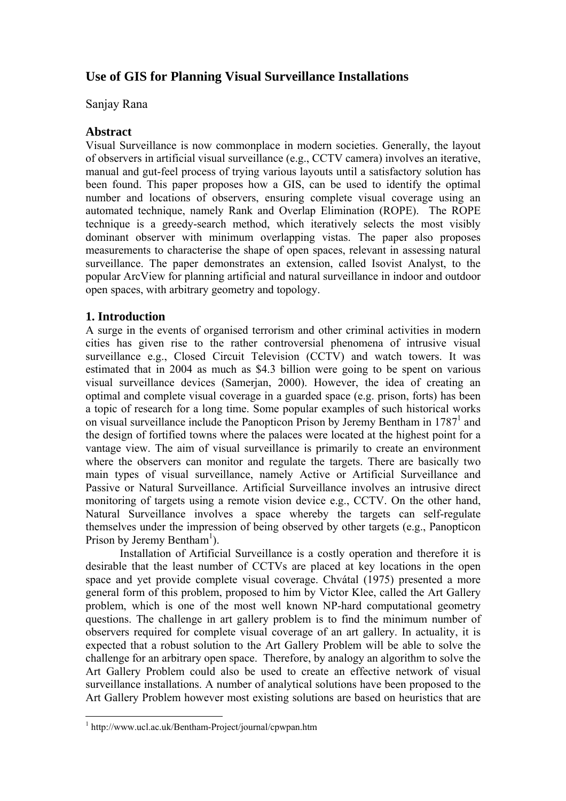# **Use of GIS for Planning Visual Surveillance Installations**

### Sanjay Rana

# **Abstract**

Visual Surveillance is now commonplace in modern societies. Generally, the layout of observers in artificial visual surveillance (e.g., CCTV camera) involves an iterative, manual and gut-feel process of trying various layouts until a satisfactory solution has been found. This paper proposes how a GIS, can be used to identify the optimal number and locations of observers, ensuring complete visual coverage using an automated technique, namely Rank and Overlap Elimination (ROPE). The ROPE technique is a greedy-search method, which iteratively selects the most visibly dominant observer with minimum overlapping vistas. The paper also proposes measurements to characterise the shape of open spaces, relevant in assessing natural surveillance. The paper demonstrates an extension, called Isovist Analyst, to the popular ArcView for planning artificial and natural surveillance in indoor and outdoor open spaces, with arbitrary geometry and topology.

# **1. Introduction**

A surge in the events of organised terrorism and other criminal activities in modern cities has given rise to the rather controversial phenomena of intrusive visual surveillance e.g., Closed Circuit Television (CCTV) and watch towers. It was estimated that in 2004 as much as \$4.3 billion were going to be spent on various visual surveillance devices (Samerjan, 2000). However, the idea of creating an optimal and complete visual coverage in a guarded space (e.g. prison, forts) has been a topic of research for a long time. Some popular examples of such historical works on visual surveillance include the Panopticon Prison by Jeremy Bentham in 1787<sup>1</sup> and the design of fortified towns where the palaces were located at the highest point for a vantage view. The aim of visual surveillance is primarily to create an environment where the observers can monitor and regulate the targets. There are basically two main types of visual surveillance, namely Active or Artificial Surveillance and Passive or Natural Surveillance. Artificial Surveillance involves an intrusive direct monitoring of targets using a remote vision device e.g., CCTV. On the other hand, Natural Surveillance involves a space whereby the targets can self-regulate themselves under the impression of being observed by other targets (e.g., Panopticon Prison by Jeremy Bentham<sup>1</sup>).

Installation of Artificial Surveillance is a costly operation and therefore it is desirable that the least number of CCTVs are placed at key locations in the open space and yet provide complete visual coverage. Chvátal (1975) presented a more general form of this problem, proposed to him by Victor Klee, called the Art Gallery problem, which is one of the most well known NP-hard computational geometry questions. The challenge in art gallery problem is to find the minimum number of observers required for complete visual coverage of an art gallery. In actuality, it is expected that a robust solution to the Art Gallery Problem will be able to solve the challenge for an arbitrary open space. Therefore, by analogy an algorithm to solve the Art Gallery Problem could also be used to create an effective network of visual surveillance installations. A number of analytical solutions have been proposed to the Art Gallery Problem however most existing solutions are based on heuristics that are

 1 http://www.ucl.ac.uk/Bentham-Project/journal/cpwpan.htm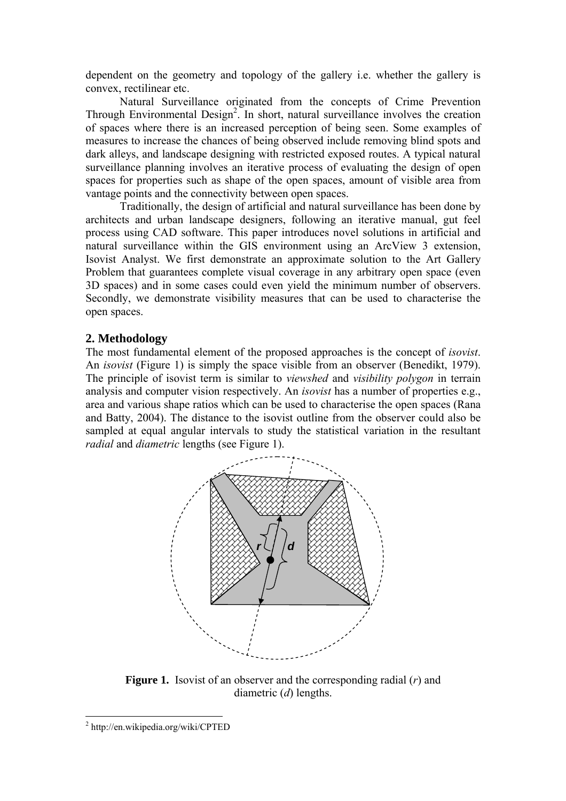dependent on the geometry and topology of the gallery i.e. whether the gallery is convex, rectilinear etc.

 Natural Surveillance originated from the concepts of Crime Prevention Through Environmental Design<sup>2</sup>. In short, natural surveillance involves the creation of spaces where there is an increased perception of being seen. Some examples of measures to increase the chances of being observed include removing blind spots and dark alleys, and landscape designing with restricted exposed routes. A typical natural surveillance planning involves an iterative process of evaluating the design of open spaces for properties such as shape of the open spaces, amount of visible area from vantage points and the connectivity between open spaces.

Traditionally, the design of artificial and natural surveillance has been done by architects and urban landscape designers, following an iterative manual, gut feel process using CAD software. This paper introduces novel solutions in artificial and natural surveillance within the GIS environment using an ArcView 3 extension, Isovist Analyst. We first demonstrate an approximate solution to the Art Gallery Problem that guarantees complete visual coverage in any arbitrary open space (even 3D spaces) and in some cases could even yield the minimum number of observers. Secondly, we demonstrate visibility measures that can be used to characterise the open spaces.

# **2. Methodology**

The most fundamental element of the proposed approaches is the concept of *isovist*. An *isovist* (Figure 1) is simply the space visible from an observer (Benedikt, 1979). The principle of isovist term is similar to *viewshed* and *visibility polygon* in terrain analysis and computer vision respectively. An *isovist* has a number of properties e.g., area and various shape ratios which can be used to characterise the open spaces (Rana and Batty, 2004). The distance to the isovist outline from the observer could also be sampled at equal angular intervals to study the statistical variation in the resultant *radial* and *diametric* lengths (see Figure 1).



**Figure 1.** Isovist of an observer and the corresponding radial (*r*) and diametric (*d*) lengths.

 $\overline{a}$ 

<sup>2</sup> http://en.wikipedia.org/wiki/CPTED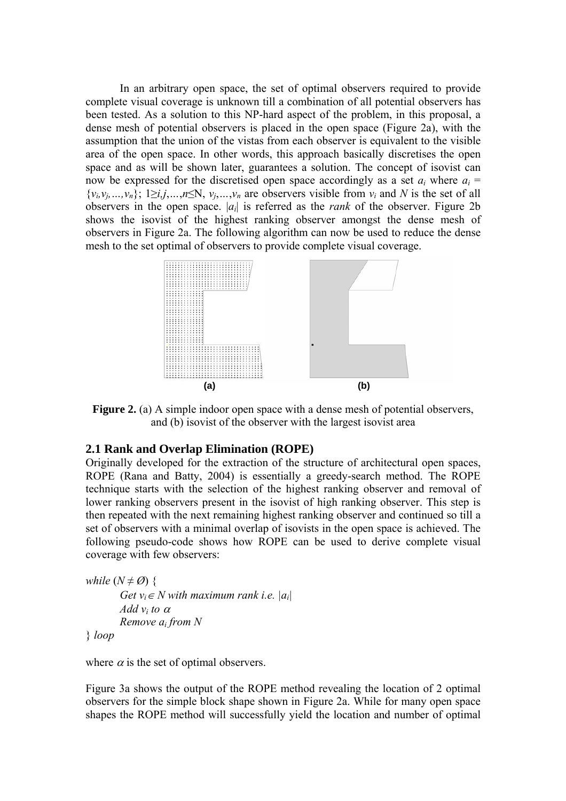In an arbitrary open space, the set of optimal observers required to provide complete visual coverage is unknown till a combination of all potential observers has been tested. As a solution to this NP-hard aspect of the problem, in this proposal, a dense mesh of potential observers is placed in the open space (Figure 2a), with the assumption that the union of the vistas from each observer is equivalent to the visible area of the open space. In other words, this approach basically discretises the open space and as will be shown later, guarantees a solution. The concept of isovist can now be expressed for the discretised open space accordingly as a set  $a_i$  where  $a_i$  =  $\{v_i, v_j, ..., v_n\}$ ; 1≥*i,j,…,n*≤N,  $v_j, ..., v_n$  are observers visible from  $v_i$  and N is the set of all observers in the open space. |*ai*| is referred as the *rank* of the observer. Figure 2b shows the isovist of the highest ranking observer amongst the dense mesh of observers in Figure 2a. The following algorithm can now be used to reduce the dense mesh to the set optimal of observers to provide complete visual coverage.



**Figure 2.** (a) A simple indoor open space with a dense mesh of potential observers, and (b) isovist of the observer with the largest isovist area

#### **2.1 Rank and Overlap Elimination (ROPE)**

Originally developed for the extraction of the structure of architectural open spaces, ROPE (Rana and Batty, 2004) is essentially a greedy-search method. The ROPE technique starts with the selection of the highest ranking observer and removal of lower ranking observers present in the isovist of high ranking observer. This step is then repeated with the next remaining highest ranking observer and continued so till a set of observers with a minimal overlap of isovists in the open space is achieved. The following pseudo-code shows how ROPE can be used to derive complete visual coverage with few observers:

```
while (N \neq \emptyset) {
Get v_i \in N with maximum rank i.e. |a_i|Add vi to α
Remove ai from N
```
} *loop* 

where  $\alpha$  is the set of optimal observers.

Figure 3a shows the output of the ROPE method revealing the location of 2 optimal observers for the simple block shape shown in Figure 2a. While for many open space shapes the ROPE method will successfully yield the location and number of optimal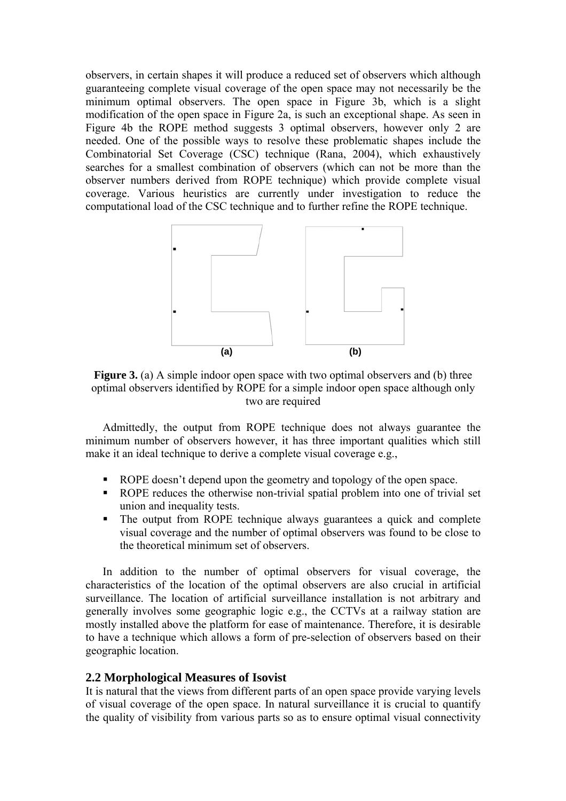observers, in certain shapes it will produce a reduced set of observers which although guaranteeing complete visual coverage of the open space may not necessarily be the minimum optimal observers. The open space in Figure 3b, which is a slight modification of the open space in Figure 2a, is such an exceptional shape. As seen in Figure 4b the ROPE method suggests 3 optimal observers, however only 2 are needed. One of the possible ways to resolve these problematic shapes include the Combinatorial Set Coverage (CSC) technique (Rana, 2004), which exhaustively searches for a smallest combination of observers (which can not be more than the observer numbers derived from ROPE technique) which provide complete visual coverage. Various heuristics are currently under investigation to reduce the computational load of the CSC technique and to further refine the ROPE technique.



**Figure 3.** (a) A simple indoor open space with two optimal observers and (b) three optimal observers identified by ROPE for a simple indoor open space although only two are required

Admittedly, the output from ROPE technique does not always guarantee the minimum number of observers however, it has three important qualities which still make it an ideal technique to derive a complete visual coverage e.g.,

- ROPE doesn't depend upon the geometry and topology of the open space.
- ROPE reduces the otherwise non-trivial spatial problem into one of trivial set union and inequality tests.
- The output from ROPE technique always guarantees a quick and complete visual coverage and the number of optimal observers was found to be close to the theoretical minimum set of observers.

In addition to the number of optimal observers for visual coverage, the characteristics of the location of the optimal observers are also crucial in artificial surveillance. The location of artificial surveillance installation is not arbitrary and generally involves some geographic logic e.g., the CCTVs at a railway station are mostly installed above the platform for ease of maintenance. Therefore, it is desirable to have a technique which allows a form of pre-selection of observers based on their geographic location.

#### **2.2 Morphological Measures of Isovist**

It is natural that the views from different parts of an open space provide varying levels of visual coverage of the open space. In natural surveillance it is crucial to quantify the quality of visibility from various parts so as to ensure optimal visual connectivity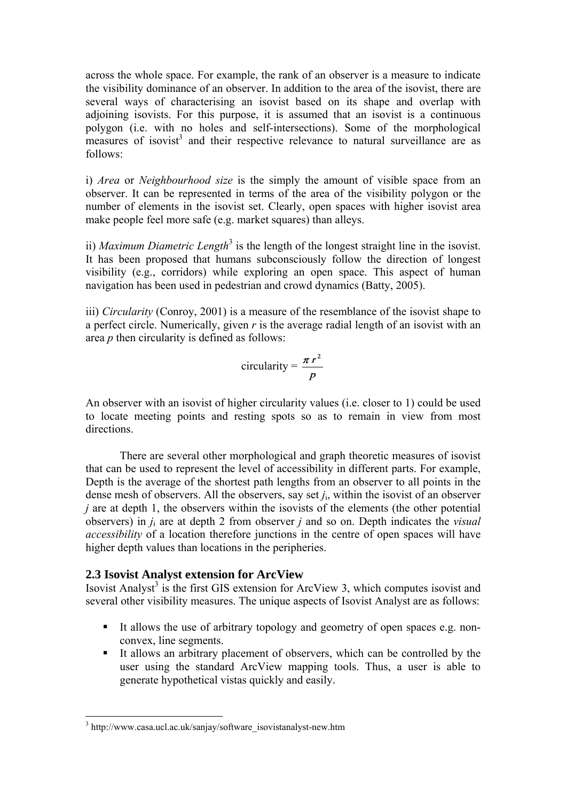across the whole space. For example, the rank of an observer is a measure to indicate the visibility dominance of an observer. In addition to the area of the isovist, there are several ways of characterising an isovist based on its shape and overlap with adjoining isovists. For this purpose, it is assumed that an isovist is a continuous polygon (i.e. with no holes and self-intersections). Some of the morphological  $\frac{1}{2}$  measures of isovist<sup>3</sup> and their respective relevance to natural surveillance are as follows:

i) *Area* or *Neighbourhood size* is the simply the amount of visible space from an observer. It can be represented in terms of the area of the visibility polygon or the number of elements in the isovist set. Clearly, open spaces with higher isovist area make people feel more safe (e.g. market squares) than alleys.

ii) *Maximum Diametric Length*<sup>3</sup> is the length of the longest straight line in the isovist. It has been proposed that humans subconsciously follow the direction of longest visibility (e.g., corridors) while exploring an open space. This aspect of human navigation has been used in pedestrian and crowd dynamics (Batty, 2005).

iii) *Circularity* (Conroy, 2001) is a measure of the resemblance of the isovist shape to a perfect circle. Numerically, given *r* is the average radial length of an isovist with an area *p* then circularity is defined as follows:

circularity = 
$$
\frac{\pi r^2}{p}
$$

An observer with an isovist of higher circularity values (i.e. closer to 1) could be used to locate meeting points and resting spots so as to remain in view from most directions.

There are several other morphological and graph theoretic measures of isovist that can be used to represent the level of accessibility in different parts. For example, Depth is the average of the shortest path lengths from an observer to all points in the dense mesh of observers. All the observers, say set *j*i, within the isovist of an observer *j* are at depth 1, the observers within the isovists of the elements (the other potential observers) in *j*i are at depth 2 from observer *j* and so on. Depth indicates the *visual accessibility* of a location therefore junctions in the centre of open spaces will have higher depth values than locations in the peripheries.

# **2.3 Isovist Analyst extension for ArcView**

Isovist Analyst<sup>3</sup> is the first GIS extension for ArcView 3, which computes isovist and several other visibility measures. The unique aspects of Isovist Analyst are as follows:

- It allows the use of arbitrary topology and geometry of open spaces e.g. nonconvex, line segments.
- It allows an arbitrary placement of observers, which can be controlled by the user using the standard ArcView mapping tools. Thus, a user is able to generate hypothetical vistas quickly and easily.

 $\overline{a}$ 

<sup>&</sup>lt;sup>3</sup> http://www.casa.ucl.ac.uk/sanjay/software\_isovistanalyst-new.htm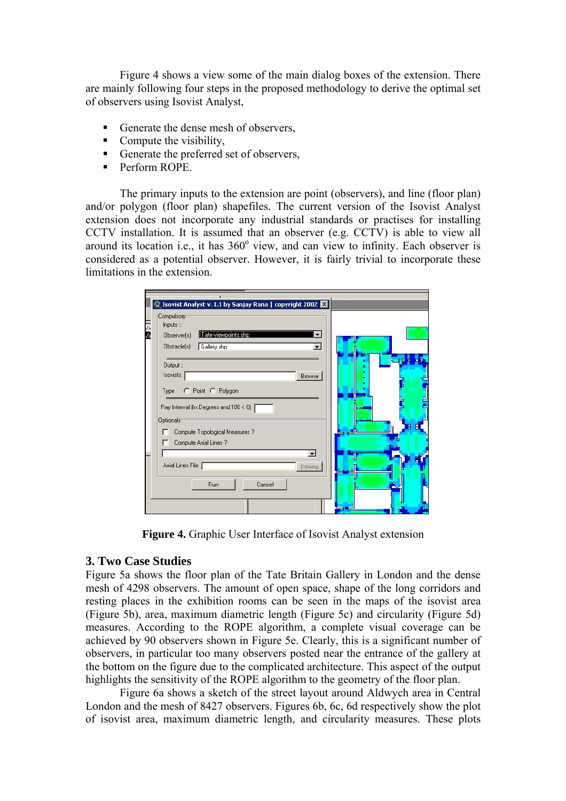Figure 4 shows a view some of the main dialog boxes of the extension. There are mainly following four steps in the proposed methodology to derive the optimal set of observers using Isovist Analyst,

- Generate the dense mesh of observers,
- $\blacksquare$  Compute the visibility,
- Generate the preferred set of observers,
- **Perform ROPE.**

The primary inputs to the extension are point (observers), and line (floor plan) and/or polygon (floor plan) shapefiles. The current version of the Isovist Analyst extension does not incorporate any industrial standards or practises for installing CCTV installation. It is assumed that an observer (e.g. CCTV) is able to view all around its location i.e., it has  $360^\circ$  view, and can view to infinity. Each observer is considered as a potential observer. However, it is fairly trivial to incorporate these limitations in the extension.



**Figure 4.** Graphic User Interface of Isovist Analyst extension

# **3. Two Case Studies**

Figure 5a shows the floor plan of the Tate Britain Gallery in London and the dense mesh of 4298 observers. The amount of open space, shape of the long corridors and resting places in the exhibition rooms can be seen in the maps of the isovist area (Figure 5b), area, maximum diametric length (Figure 5c) and circularity (Figure 5d) measures. According to the ROPE algorithm, a complete visual coverage can be achieved by 90 observers shown in Figure 5e. Clearly, this is a significant number of observers, in particular too many observers posted near the entrance of the gallery at the bottom on the figure due to the complicated architecture. This aspect of the output highlights the sensitivity of the ROPE algorithm to the geometry of the floor plan.

 Figure 6a shows a sketch of the street layout around Aldwych area in Central London and the mesh of 8427 observers. Figures 6b, 6c, 6d respectively show the plot of isovist area, maximum diametric length, and circularity measures. These plots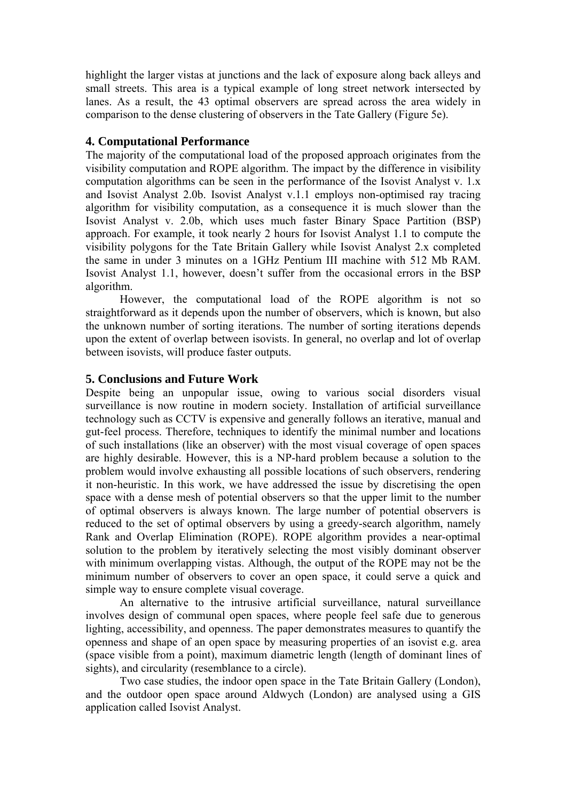highlight the larger vistas at junctions and the lack of exposure along back alleys and small streets. This area is a typical example of long street network intersected by lanes. As a result, the 43 optimal observers are spread across the area widely in comparison to the dense clustering of observers in the Tate Gallery (Figure 5e).

#### **4. Computational Performance**

The majority of the computational load of the proposed approach originates from the visibility computation and ROPE algorithm. The impact by the difference in visibility computation algorithms can be seen in the performance of the Isovist Analyst v. 1.x and Isovist Analyst 2.0b. Isovist Analyst v.1.1 employs non-optimised ray tracing algorithm for visibility computation, as a consequence it is much slower than the Isovist Analyst v. 2.0b, which uses much faster Binary Space Partition (BSP) approach. For example, it took nearly 2 hours for Isovist Analyst 1.1 to compute the visibility polygons for the Tate Britain Gallery while Isovist Analyst 2.x completed the same in under 3 minutes on a 1GHz Pentium III machine with 512 Mb RAM. Isovist Analyst 1.1, however, doesn't suffer from the occasional errors in the BSP algorithm.

 However, the computational load of the ROPE algorithm is not so straightforward as it depends upon the number of observers, which is known, but also the unknown number of sorting iterations. The number of sorting iterations depends upon the extent of overlap between isovists. In general, no overlap and lot of overlap between isovists, will produce faster outputs.

#### **5. Conclusions and Future Work**

Despite being an unpopular issue, owing to various social disorders visual surveillance is now routine in modern society. Installation of artificial surveillance technology such as CCTV is expensive and generally follows an iterative, manual and gut-feel process. Therefore, techniques to identify the minimal number and locations of such installations (like an observer) with the most visual coverage of open spaces are highly desirable. However, this is a NP-hard problem because a solution to the problem would involve exhausting all possible locations of such observers, rendering it non-heuristic. In this work, we have addressed the issue by discretising the open space with a dense mesh of potential observers so that the upper limit to the number of optimal observers is always known. The large number of potential observers is reduced to the set of optimal observers by using a greedy-search algorithm, namely Rank and Overlap Elimination (ROPE). ROPE algorithm provides a near-optimal solution to the problem by iteratively selecting the most visibly dominant observer with minimum overlapping vistas. Although, the output of the ROPE may not be the minimum number of observers to cover an open space, it could serve a quick and simple way to ensure complete visual coverage.

An alternative to the intrusive artificial surveillance, natural surveillance involves design of communal open spaces, where people feel safe due to generous lighting, accessibility, and openness. The paper demonstrates measures to quantify the openness and shape of an open space by measuring properties of an isovist e.g. area (space visible from a point), maximum diametric length (length of dominant lines of sights), and circularity (resemblance to a circle).

 Two case studies, the indoor open space in the Tate Britain Gallery (London), and the outdoor open space around Aldwych (London) are analysed using a GIS application called Isovist Analyst.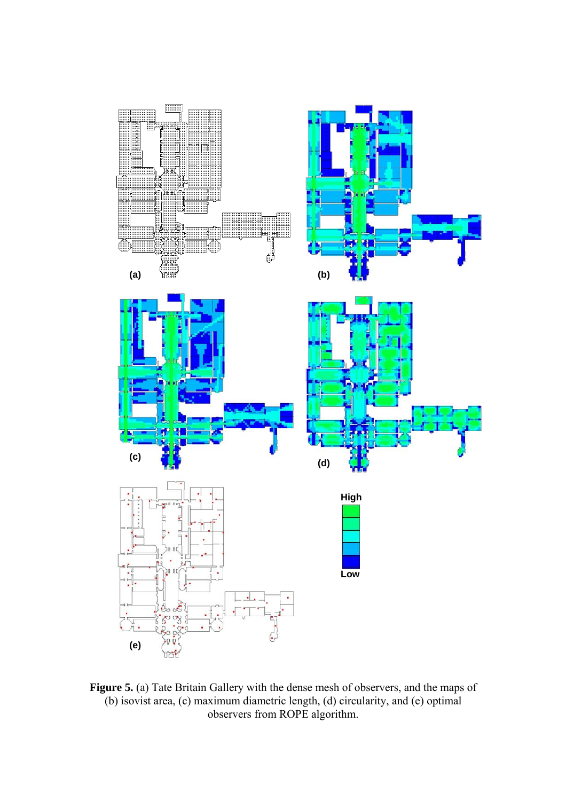

**Figure 5.** (a) Tate Britain Gallery with the dense mesh of observers, and the maps of (b) isovist area, (c) maximum diametric length, (d) circularity, and (e) optimal observers from ROPE algorithm.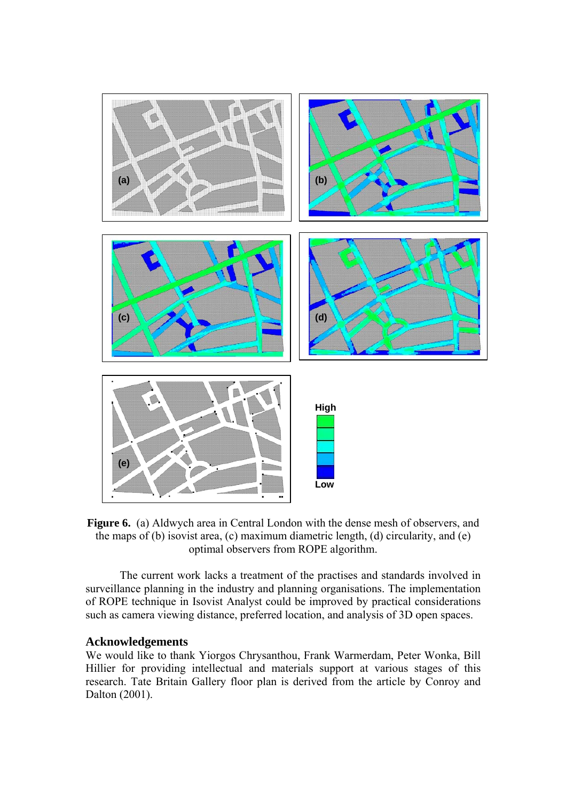

**Figure 6.** (a) Aldwych area in Central London with the dense mesh of observers, and the maps of (b) isovist area, (c) maximum diametric length, (d) circularity, and (e) optimal observers from ROPE algorithm.

The current work lacks a treatment of the practises and standards involved in surveillance planning in the industry and planning organisations. The implementation of ROPE technique in Isovist Analyst could be improved by practical considerations such as camera viewing distance, preferred location, and analysis of 3D open spaces.

#### **Acknowledgements**

We would like to thank Yiorgos Chrysanthou, Frank Warmerdam, Peter Wonka, Bill Hillier for providing intellectual and materials support at various stages of this research. Tate Britain Gallery floor plan is derived from the article by Conroy and Dalton (2001).